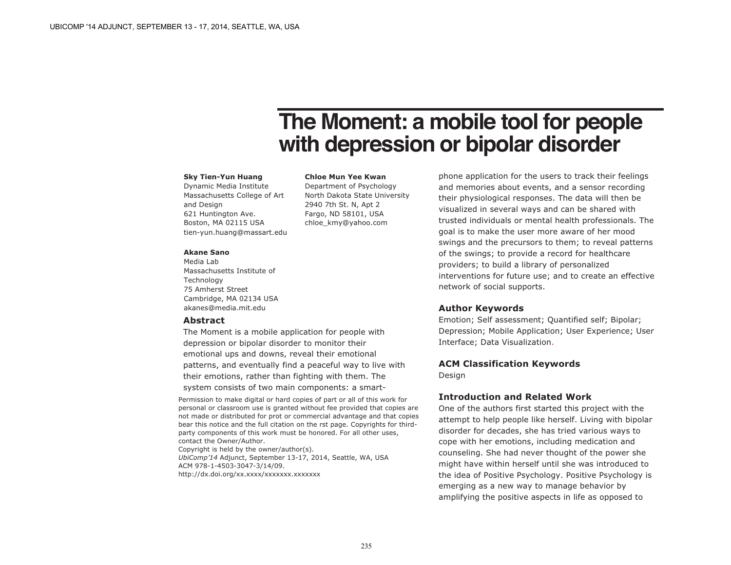# **The Moment: a mobile tool for people with depression or bipolar disorder**

#### **Sky Tien-Yun Huang**

Dynamic Media Institute Massachusetts College of Art and Design 621 Huntington Ave. Boston, MA 02115 USA tien-yun.huang@massart.edu

#### **Akane Sano**

Media Lab Massachusetts Institute of **Technology** 75 Amherst Street Cambridge, MA 02134 USA akanes@media.mit.edu

#### **Abstract**

The Moment is a mobile application for people with depression or bipolar disorder to monitor their emotional ups and downs, reveal their emotional patterns, and eventually find a peaceful way to live with their emotions, rather than fighting with them. The system consists of two main components: a smart-

**Chloe Mun Yee Kwan**  Department of Psychology North Dakota State University 2940 7th St. N, Apt 2 Fargo, ND 58101, USA chloe\_kmy@yahoo.com

Permission to make digital or hard copies of part or all of this work for personal or classroom use is granted without fee provided that copies are not made or distributed for prot or commercial advantage and that copies bear this notice and the full citation on the rst page. Copyrights for thirdparty components of this work must be honored. For all other uses, contact the Owner/Author.

Copyright is held by the owner/author(s). *UbiComp'14* Adjunct, September 13-17, 2014, Seattle, WA, USA ACM 978-1-4503-3047-3/14/09. http://dx.doi.org/xx.xxxx/xxxxxxxx.xxxxxx

phone application for the users to track their feelings and memories about events, and a sensor recording their physiological responses. The data will then be visualized in several ways and can be shared with trusted individuals or mental health professionals. The goal is to make the user more aware of her mood swings and the precursors to them; to reveal patterns of the swings; to provide a record for healthcare providers; to build a library of personalized interventions for future use; and to create an effective network of social supports.

## **Author Keywords**

Emotion; Self assessment; Quantified self; Bipolar; Depression; Mobile Application; User Experience; User Interface; Data Visualization.

## **ACM Classification Keywords**

Design

## **Introduction and Related Work**

One of the authors first started this project with the attempt to help people like herself. Living with bipolar disorder for decades, she has tried various ways to cope with her emotions, including medication and counseling. She had never thought of the power she might have within herself until she was introduced to the idea of Positive Psychology. Positive Psychology is emerging as a new way to manage behavior by amplifying the positive aspects in life as opposed to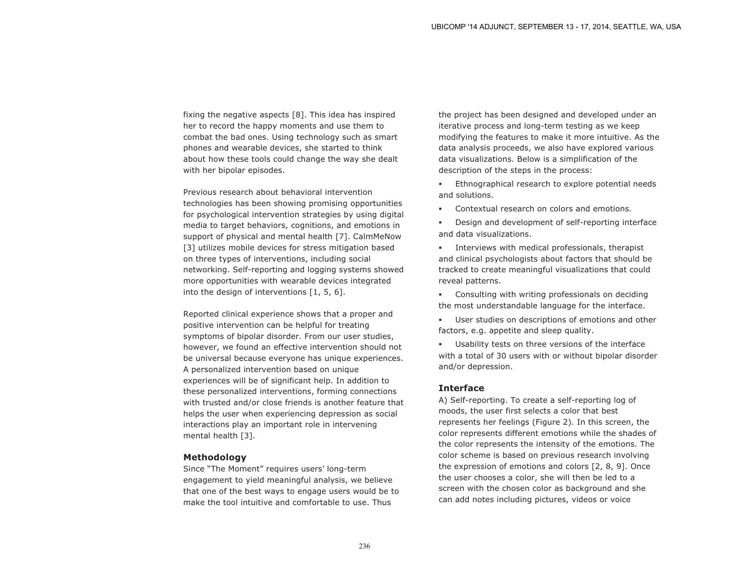fixing the negative aspects [8]. This idea has inspired her to record the happy moments and use them to combat the bad ones. Using technology such as smart phones and wearable devices, she started to think about how these tools could change the way she dealt with her bipolar episodes.

Previous research about behavioral intervention technologies has been showing promising opportunities for psychological intervention strategies by using digital media to target behaviors, cognitions, and emotions in support of physical and mental health [7]. CalmMeNow [3] utilizes mobile devices for stress mitigation based on three types of interventions, including social networking. Self-reporting and logging systems showed more opportunities with wearable devices integrated into the design of interventions [1, 5, 6].

Reported clinical experience shows that a proper and positive intervention can be helpful for treating symptoms of bipolar disorder. From our user studies, however, we found an effective intervention should not be universal because everyone has unique experiences. A personalized intervention based on unique experiences will be of significant help. In addition to these personalized interventions, forming connections with trusted and/or close friends is another feature that helps the user when experiencing depression as social interactions play an important role in intervening mental health [3].

### **Methodology**

Since "The Moment" requires users' long-term engagement to yield meaningful analysis, we believe that one of the best ways to engage users would be to make the tool intuitive and comfortable to use. Thus

the project has been designed and developed under an iterative process and long-term testing as we keep modifying the features to make it more intuitive. As the data analysis proceeds, we also have explored various data visualizations. Below is a simplification of the description of the steps in the process:

- - Ethnographical research to explore potential needs and solutions.
- -Contextual research on colors and emotions.

- Design and development of self-reporting interface and data visualizations.

- - Interviews with medical professionals, therapist and clinical psychologists about factors that should be tracked to create meaningful visualizations that could reveal patterns.
- - Consulting with writing professionals on deciding the most understandable language for the interface.
- - User studies on descriptions of emotions and other factors, e.g. appetite and sleep quality.
- - Usability tests on three versions of the interface with a total of 30 users with or without bipolar disorder and/or depression.

### **Interface**

A) Self-reporting. To create a self-reporting log of moods, the user first selects a color that best represents her feelings (Figure 2). In this screen, the color represents different emotions while the shades of the color represents the intensity of the emotions. The color scheme is based on previous research involving the expression of emotions and colors [2, 8, 9]. Once the user chooses a color, she will then be led to a screen with the chosen color as background and she can add notes including pictures, videos or voice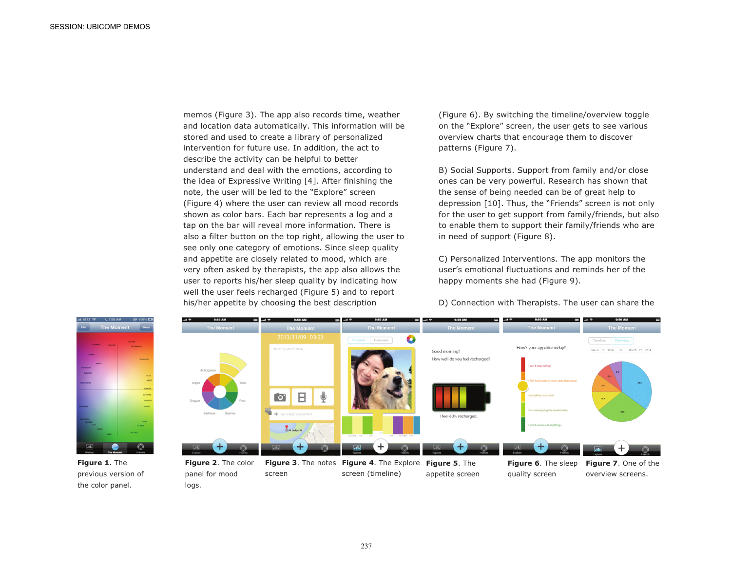memos (Figure 3). The app also records time, weather and location data automatically. This information will be stored and used to create a library of personalized intervention for future use. In addition, the act to describe the activity can be helpful to better understand and deal with the emotions, according to the idea of Expressive Writing [4]. After finishing the note, the user will be led to the "Explore" screen (Figure 4) where the user can review all mood records shown as color bars. Each bar represents a log and a tap on the bar will reveal more information. There is also a filter button on the top right, allowing the user to see only one category of emotions. Since sleep quality and appetite are closely related to mood, which are very often asked by therapists, the app also allows the user to reports his/her sleep quality by indicating how well the user feels recharged (Figure 5) and to report his/her appetite by choosing the best description

(Figure 6). By switching the timeline/overview toggle on the "Explore" screen, the user gets to see various overview charts that encourage them to discover patterns (Figure 7).

B) Social Supports. Support from family and/or close ones can be very powerful. Research has shown that the sense of being needed can be of great help to depression [10]. Thus, the "Friends" screen is not only for the user to get support from family/friends, but also to enable them to support their family/friends who are in need of support (Figure 8).

C) Personalized Interventions. The app monitors the user's emotional fluctuations and reminds her of the happy moments she had (Figure 9).

D) Connection with Therapists. The user can share the



previous version of the color panel.

logs.